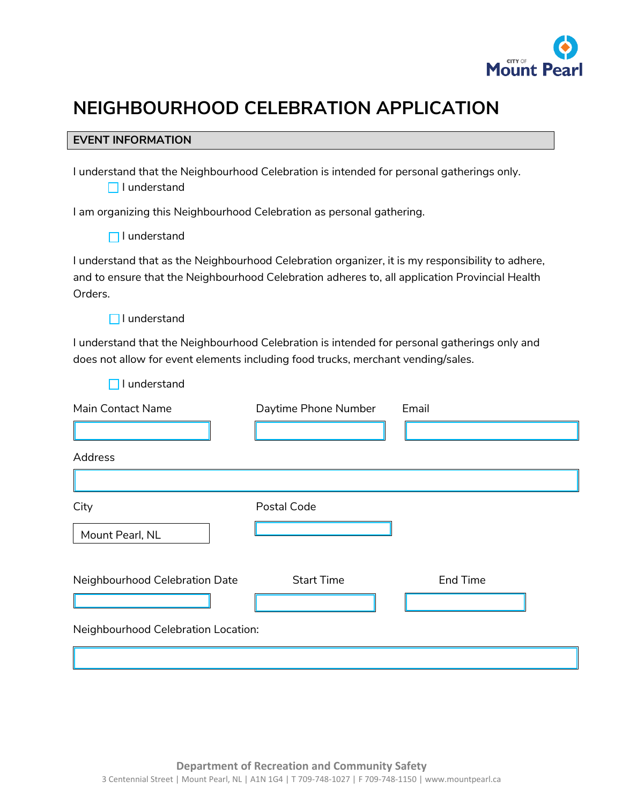

# **NEIGHBOURHOOD CELEBRATION APPLICATION**

#### **EVENT INFORMATION**

I understand that the Neighbourhood Celebration is intended for personal gatherings only.  $\Box$  I understand

I am organizing this Neighbourhood Celebration as personal gathering.

I understand that as the Neighbourhood Celebration organizer, it is my responsibility to adhere, and to ensure that the Neighbourhood Celebration adheres to, all application Provincial Health Orders.

 $\Box$  I understand

 $\Box$  I understand

I understand that the Neighbourhood Celebration is intended for personal gatherings only and does not allow for event elements including food trucks, merchant vending/sales.

| Main Contact Name                   | Daytime Phone Number | Email           |
|-------------------------------------|----------------------|-----------------|
| Address                             |                      |                 |
| City<br>Mount Pearl, NL             | Postal Code          |                 |
| Neighbourhood Celebration Date      | <b>Start Time</b>    | <b>End Time</b> |
| Neighbourhood Celebration Location: |                      |                 |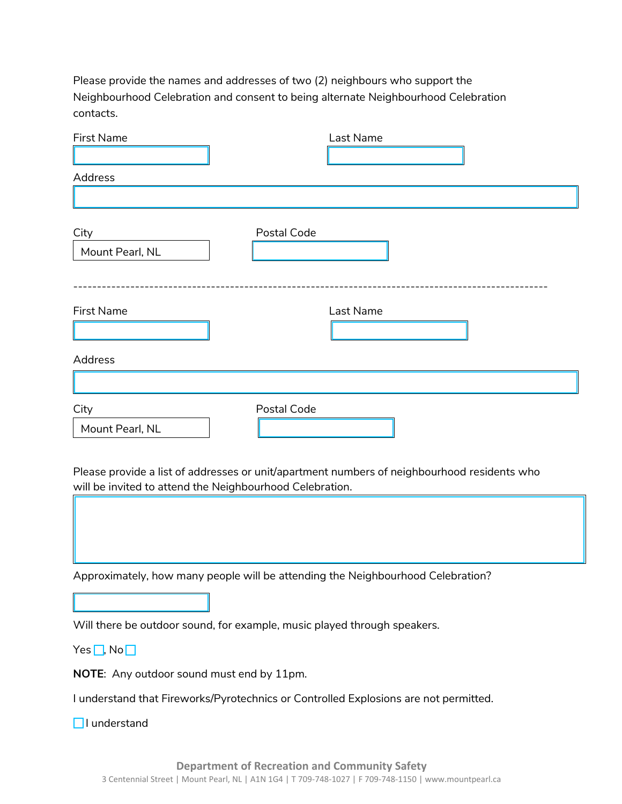Please provide the names and addresses of two (2) neighbours who support the Neighbourhood Celebration and consent to being alternate Neighbourhood Celebration contacts.

| <b>First Name</b>                                                                           |             | Last Name |  |  |  |
|---------------------------------------------------------------------------------------------|-------------|-----------|--|--|--|
|                                                                                             |             |           |  |  |  |
| Address                                                                                     |             |           |  |  |  |
|                                                                                             |             |           |  |  |  |
| City                                                                                        | Postal Code |           |  |  |  |
| Mount Pearl, NL                                                                             |             |           |  |  |  |
|                                                                                             |             |           |  |  |  |
|                                                                                             |             |           |  |  |  |
| First Name                                                                                  |             | Last Name |  |  |  |
|                                                                                             |             |           |  |  |  |
| Address                                                                                     |             |           |  |  |  |
|                                                                                             |             |           |  |  |  |
| City                                                                                        | Postal Code |           |  |  |  |
| Mount Pearl, NL                                                                             |             |           |  |  |  |
|                                                                                             |             |           |  |  |  |
| Please provide a list of addresses or unit/apartment numbers of neighbourhood residents who |             |           |  |  |  |
| will be invited to attend the Neighbourhood Celebration.                                    |             |           |  |  |  |
|                                                                                             |             |           |  |  |  |
|                                                                                             |             |           |  |  |  |
|                                                                                             |             |           |  |  |  |
| Approximately, how many people will be attending the Neighbourhood Celebration?             |             |           |  |  |  |
|                                                                                             |             |           |  |  |  |
| Will there be outdoor sound, for example, music played through speakers.                    |             |           |  |  |  |
| $Yes \Box, No \Box$                                                                         |             |           |  |  |  |
| NOTE: Any outdoor sound must end by 11pm.                                                   |             |           |  |  |  |
| I understand that Fireworks/Pyrotechnics or Controlled Explosions are not permitted.        |             |           |  |  |  |
| □ l understand                                                                              |             |           |  |  |  |
|                                                                                             |             |           |  |  |  |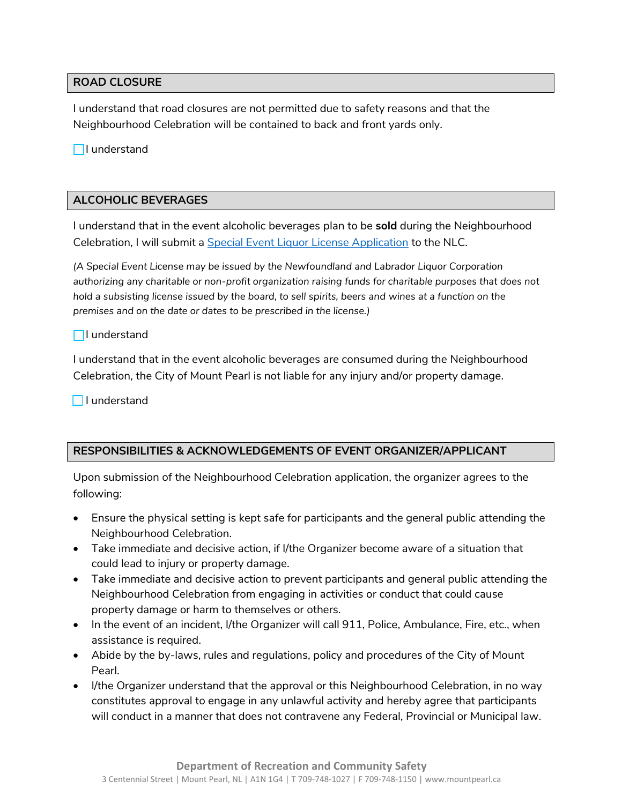## **ROAD CLOSURE**

I understand that road closures are not permitted due to safety reasons and that the Neighbourhood Celebration will be contained to back and front yards only.

 $\Box$ I understand

# **ALCOHOLIC BEVERAGES**

I understand that in the event alcoholic beverages plan to be **sold** during the Neighbourhood Celebration, I will submit a [Special Event Liquor License Application](https://nlliquorcorp.com/images/services/files/license-2022/Special%20Event%20-%20Application%20Package%202022.pdf) to the NLC.

*(A Special Event License may be issued by the Newfoundland and Labrador Liquor Corporation authorizing any charitable or non-profit organization raising funds for charitable purposes that does not hold a subsisting license issued by the board, to sell spirits, beers and wines at a function on the premises and on the date or dates to be prescribed in the license.)*

## $\Box$ I understand

I understand that in the event alcoholic beverages are consumed during the Neighbourhood Celebration, the City of Mount Pearl is not liable for any injury and/or property damage.

**I** lunderstand

# **RESPONSIBILITIES & ACKNOWLEDGEMENTS OF EVENT ORGANIZER/APPLICANT**

Upon submission of the Neighbourhood Celebration application, the organizer agrees to the following:

- Ensure the physical setting is kept safe for participants and the general public attending the Neighbourhood Celebration.
- Take immediate and decisive action, if I/the Organizer become aware of a situation that could lead to injury or property damage.
- Take immediate and decisive action to prevent participants and general public attending the Neighbourhood Celebration from engaging in activities or conduct that could cause property damage or harm to themselves or others.
- In the event of an incident, I/the Organizer will call 911, Police, Ambulance, Fire, etc., when assistance is required.
- Abide by the by-laws, rules and regulations, policy and procedures of the City of Mount Pearl.
- I/the Organizer understand that the approval or this Neighbourhood Celebration, in no way constitutes approval to engage in any unlawful activity and hereby agree that participants will conduct in a manner that does not contravene any Federal, Provincial or Municipal law.